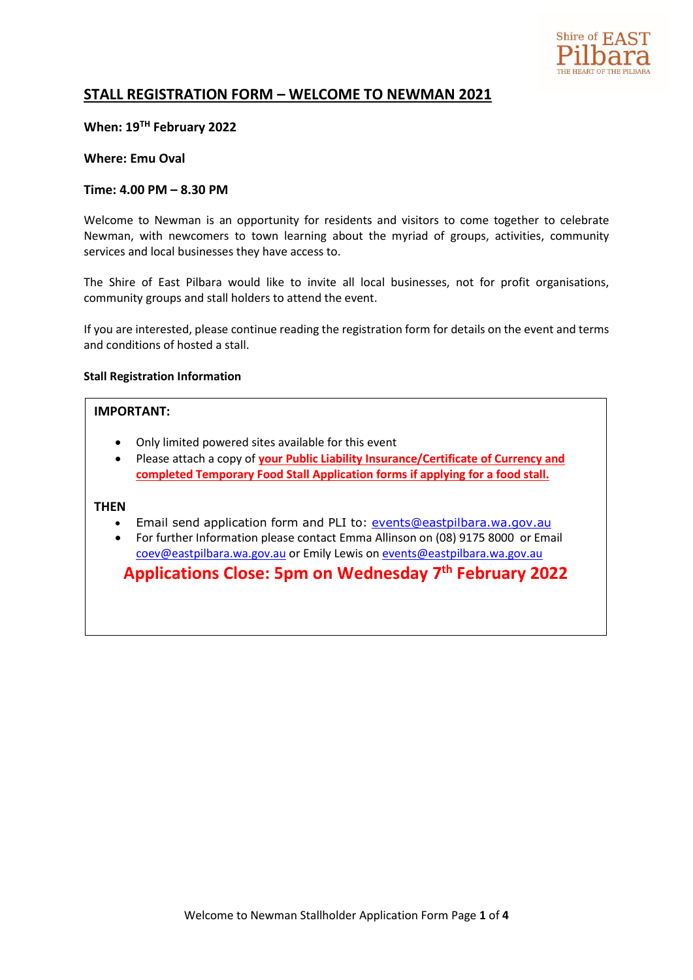

# **STALL REGISTRATION FORM – WELCOME TO NEWMAN 2021**

## **When: 19TH February 2022**

### **Where: Emu Oval**

## **Time: 4.00 PM – 8.30 PM**

Welcome to Newman is an opportunity for residents and visitors to come together to celebrate Newman, with newcomers to town learning about the myriad of groups, activities, community services and local businesses they have access to.

The Shire of East Pilbara would like to invite all local businesses, not for profit organisations, community groups and stall holders to attend the event.

If you are interested, please continue reading the registration form for details on the event and terms and conditions of hosted a stall.

#### **Stall Registration Information**

### **IMPORTANT:**

- Only limited powered sites available for this event
- Please attach a copy of **your Public Liability Insurance/Certificate of Currency and completed Temporary Food Stall Application forms if applying for a food stall.**

#### **THEN**

- Email send application form and PLI to: [events@eastpilbara.wa.gov.au](mailto:events@eastpilbara.wa.gov.au)
- For further Information please contact Emma Allinson on (08) 9175 8000 or Email [coev@eastpilbara.wa.gov.au](mailto:coev@eastpilbara.wa.gov.au) or Emily Lewis o[n events@eastpilbara.wa.gov.au](mailto:events@eastpilbara.wa.gov.au)

**Applications Close: 5pm on Wednesday 7 th February 2022**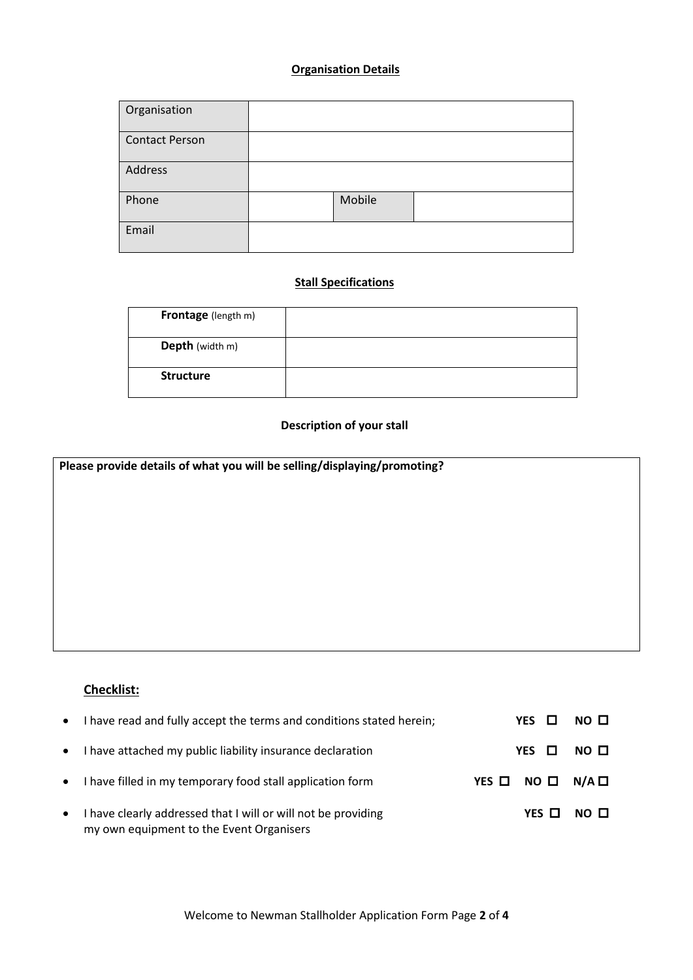## **Organisation Details**

| Organisation          |        |  |
|-----------------------|--------|--|
| <b>Contact Person</b> |        |  |
| Address               |        |  |
| Phone                 | Mobile |  |
| Email                 |        |  |

# **Stall Specifications**

| <b>Frontage</b> (length m) |  |
|----------------------------|--|
| Depth (width m)            |  |
| <b>Structure</b>           |  |

## **Description of your stall**

| Please provide details of what you will be selling/displaying/promoting? |  |  |
|--------------------------------------------------------------------------|--|--|
|                                                                          |  |  |
|                                                                          |  |  |
|                                                                          |  |  |
|                                                                          |  |  |
|                                                                          |  |  |
|                                                                          |  |  |
|                                                                          |  |  |
|                                                                          |  |  |
|                                                                          |  |  |

# **Checklist:**

|           | • I have read and fully accept the terms and conditions stated herein;                                    |                  | $YES$ $\Box$ | NO <sub>0</sub> |
|-----------|-----------------------------------------------------------------------------------------------------------|------------------|--------------|-----------------|
|           | • I have attached my public liability insurance declaration                                               |                  | $YES$ $\Box$ | NO O            |
|           | • I have filled in my temporary food stall application form                                               | YES O NO O N/A O |              |                 |
| $\bullet$ | I have clearly addressed that I will or will not be providing<br>my own equipment to the Event Organisers |                  | YES $\Box$   | NO □            |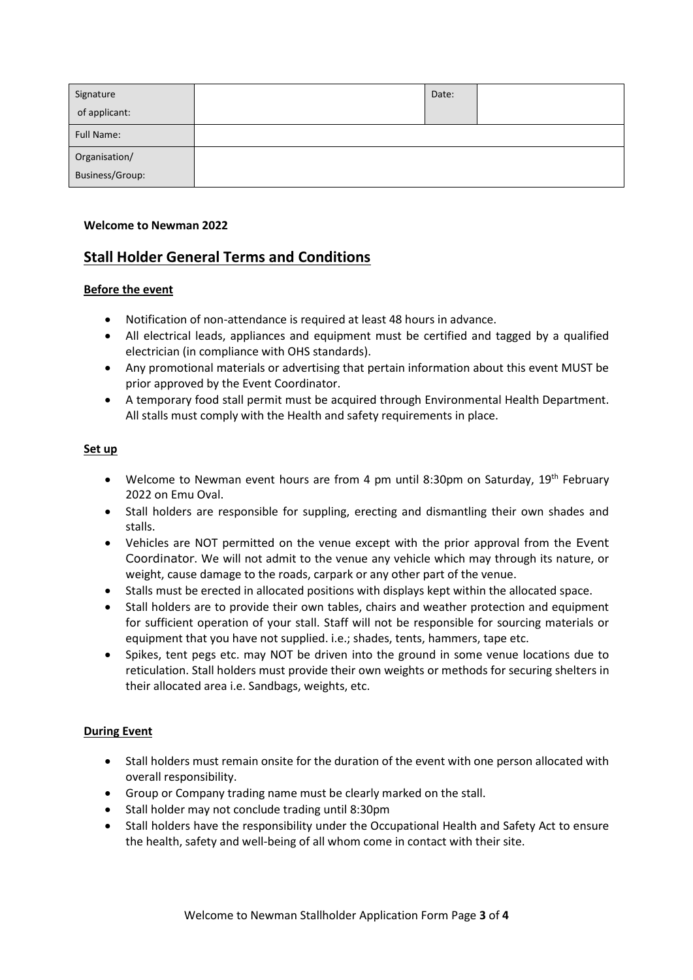| Signature       | Date: |  |
|-----------------|-------|--|
| of applicant:   |       |  |
| Full Name:      |       |  |
| Organisation/   |       |  |
| Business/Group: |       |  |

### **Welcome to Newman 2022**

# **Stall Holder General Terms and Conditions**

## **Before the event**

- Notification of non-attendance is required at least 48 hours in advance.
- All electrical leads, appliances and equipment must be certified and tagged by a qualified electrician (in compliance with OHS standards).
- Any promotional materials or advertising that pertain information about this event MUST be prior approved by the Event Coordinator.
- A temporary food stall permit must be acquired through Environmental Health Department. All stalls must comply with the Health and safety requirements in place.

## **Set up**

- Welcome to Newman event hours are from 4 pm until 8:30pm on Saturday,  $19<sup>th</sup>$  February 2022 on Emu Oval.
- Stall holders are responsible for suppling, erecting and dismantling their own shades and stalls.
- Vehicles are NOT permitted on the venue except with the prior approval from the Event Coordinator. We will not admit to the venue any vehicle which may through its nature, or weight, cause damage to the roads, carpark or any other part of the venue.
- Stalls must be erected in allocated positions with displays kept within the allocated space.
- Stall holders are to provide their own tables, chairs and weather protection and equipment for sufficient operation of your stall. Staff will not be responsible for sourcing materials or equipment that you have not supplied. i.e.; shades, tents, hammers, tape etc.
- Spikes, tent pegs etc. may NOT be driven into the ground in some venue locations due to reticulation. Stall holders must provide their own weights or methods for securing shelters in their allocated area i.e. Sandbags, weights, etc.

## **During Event**

- Stall holders must remain onsite for the duration of the event with one person allocated with overall responsibility.
- Group or Company trading name must be clearly marked on the stall.
- Stall holder may not conclude trading until 8:30pm
- Stall holders have the responsibility under the Occupational Health and Safety Act to ensure the health, safety and well-being of all whom come in contact with their site.